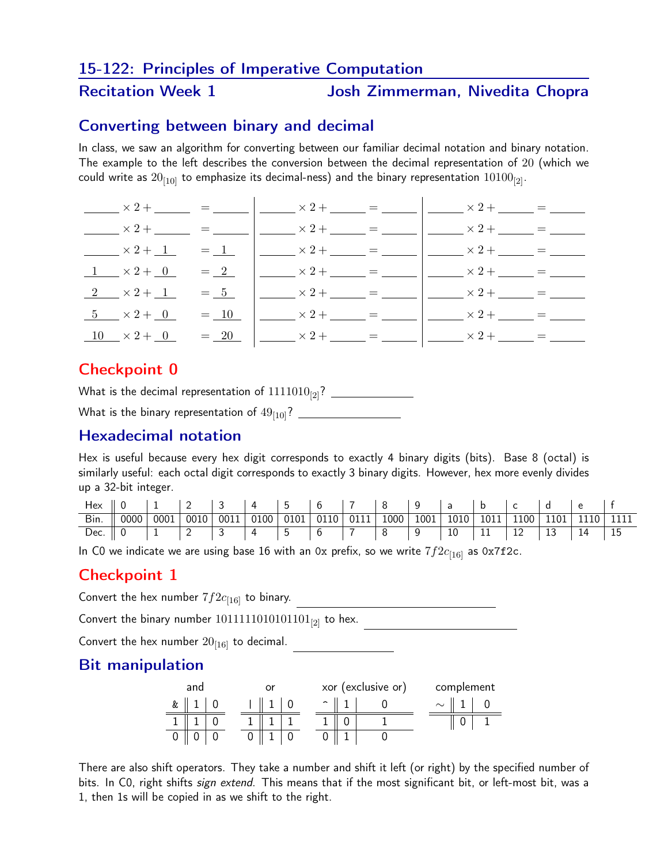#### 15-122: Principles of Imperative Computation

#### Recitation Week 1 Josh Zimmerman, Nivedita Chopra

#### Converting between binary and decimal

In class, we saw an algorithm for converting between our familiar decimal notation and binary notation. The example to the left describes the conversion between the decimal representation of 20 (which we could write as  $20_{[10]}$  to emphasize its decimal-ness) and the binary representation  $10100_{[2]}$ .

|                                                                                                                                                           |  | $x^2 +$ $x =$ $ x^2 +$ $x =$ $x^2 +$ $x =$ $x^2 +$ $x^2 +$ $x =$ $-$                                |  |
|-----------------------------------------------------------------------------------------------------------------------------------------------------------|--|-----------------------------------------------------------------------------------------------------|--|
| $\frac{1}{2}$ x 2 + $\frac{1}{2}$ = $\frac{1}{2}$ = $\frac{1}{2}$ x 2 + $\frac{1}{2}$ = $\frac{1}{2}$ = $\frac{1}{2}$ x 2 + $\frac{1}{2}$ = $\frac{1}{2}$ |  |                                                                                                     |  |
| $x^2 + 1 = 1$ $y = 1$ $x^2 + 1 = 1$                                                                                                                       |  |                                                                                                     |  |
| $1 \times 2 + 0 = 2$                                                                                                                                      |  | $\frac{1}{2}$ $\times$ 2 + $\frac{1}{2}$ = $\frac{1}{2}$ $\times$ 2 + $\frac{1}{2}$ = $\frac{1}{2}$ |  |
| $2 \times 2 + 1 = 5$ $\left  \frac{\phantom{0}}{\phantom{0}} \times 2 + \frac{\phantom{0}}{\phantom{0}} \right  = \frac{1}{2}$                            |  |                                                                                                     |  |
| $5 \times 2 + 0 = 10$                                                                                                                                     |  |                                                                                                     |  |
| $10 \times 2 + 0 = 20$                                                                                                                                    |  | $\frac{1}{2}$ $\times$ 2 + $\frac{1}{2}$ = $\frac{1}{2}$ $\times$ 2 + $\frac{1}{2}$ = $\frac{1}{2}$ |  |

## Checkpoint 0

What is the decimal representation of 1111010[2]? What is the binary representation of 49[10]?

### Hexadecimal notation

Hex is useful because every hex digit corresponds to exactly 4 binary digits (bits). Base 8 (octal) is similarly useful: each octal digit corresponds to exactly 3 binary digits. However, hex more evenly divides up a 32-bit integer.

| Hex $\parallel 0$ |      |      |      |  |  | $1 \t 2 \t 3 \t 4 \t 5 \t 6 \t 7 \t 8 \t 1$ | 9  a  b  c  d |  |  |                                                        |  |
|-------------------|------|------|------|--|--|---------------------------------------------|---------------|--|--|--------------------------------------------------------|--|
| Bin.              | 0000 | 0001 | 0010 |  |  | $0011$ 0100 0101 0110 0111 000              |               |  |  | $\vert$ 1001   1010   1011   1100   1101   1110   1111 |  |
|                   |      |      |      |  |  |                                             |               |  |  |                                                        |  |

In C0 we indicate we are using base 16 with an 0x prefix, so we write  $7f2c_{[16]}$  as 0x7f2c.

#### Checkpoint 1

Convert the hex number  $7f2c_{[16]}$  to binary.

Convert the binary number  $1011111010101101_{[2]}$  to hex.

Convert the hex number  $20_{[16]}$  to decimal.

#### Bit manipulation

| and | or | xor (exclusive or) | complement |
|-----|----|--------------------|------------|
| &   |    | ∽                  | $\sim$     |
|     |    |                    |            |
|     |    |                    |            |

There are also shift operators. They take a number and shift it left (or right) by the specified number of bits. In C0, right shifts sign extend. This means that if the most significant bit, or left-most bit, was a 1, then 1s will be copied in as we shift to the right.